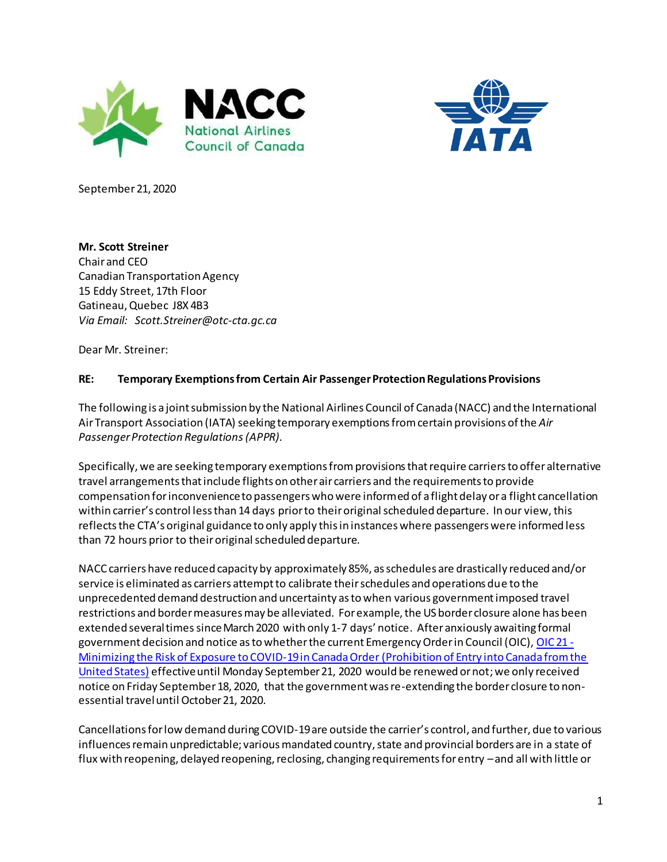



September 21, 2020

**Mr. Scott Streiner** Chair and CEO Canadian Transportation Agency 15 Eddy Street, 17th Floor Gatineau, Quebec J8X 4B3 *Via Email: [Scott.Streiner@otc-cta.gc.ca](mailto:Scott.Streiner@otc-cta.gc.ca)*

Dear Mr. Streiner:

## **RE: Temporary Exemptions from Certain Air Passenger Protection Regulations Provisions**

The following is a joint submission by the National Airlines Council of Canada (NACC) and the International Air Transport Association (IATA) seeking temporary exemptions from certain provisions of the *Air Passenger Protection Regulations(APPR).* 

Specifically, we are seeking temporary exemptions from provisions that require carriers to offer alternative travel arrangements that include flights on other air carriers and the requirements to provide compensation for inconvenience to passengers who were informed of a flight delay or a flight cancellation within carrier's control less than 14 days prior to their original scheduled departure. In our view, this reflects the CTA's original guidance to only apply this in instances where passengers were informed less than 72 hours prior to their original scheduled departure.

NACC carriers have reduced capacity by approximately 85%, as schedules are drastically reduced and/or service is eliminated as carriers attempt to calibrate their schedules and operations due to the unprecedented demand destruction and uncertainty as to when various government imposed travel restrictions and border measures may be alleviated. For example, the US border closure alone has been extended several times since March 2020 with only 1-7 days' notice. After anxiously awaiting formal government decision and notice as to whether the current Emergency Order in Council (OIC)[, OIC 21 -](https://orders-in-council.canada.ca/attachment.php?attach=39536&lang=en) Minimizing the Risk of [Exposure to COVID-19 in Canada Order \(Prohibition of Entry into Canada from the](https://orders-in-council.canada.ca/attachment.php?attach=39536&lang=en)  [United States\)](https://orders-in-council.canada.ca/attachment.php?attach=39536&lang=en) effective until Monday September 21, 2020 would be renewed or not;we only received notice on Friday September 18, 2020, that the government was re-extending the border closure to nonessential travel until October 21, 2020.

Cancellations for low demand during COVID-19are outside the carrier's control, and further, due to various influences remain unpredictable; various mandated country, state and provincial borders are in a state of flux with reopening, delayed reopening, reclosing, changing requirements for entry –and all with little or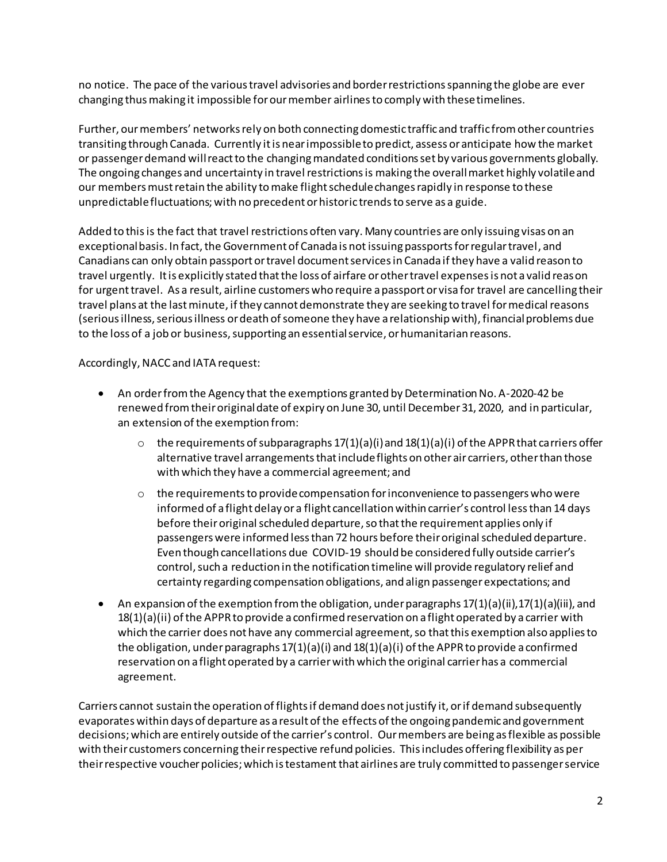no notice. The pace of the various travel advisories and border restrictions spanning the globe are ever changing thus making it impossible for our member airlinesto comply with these timelines.

Further, our members' networks rely on both connecting domestic traffic and traffic from other countries transiting through Canada. Currently it is near impossible to predict, assess or anticipate how the market or passenger demand will react to the changing mandated conditions set by various governments globally. The ongoing changes and uncertainty in travel restrictions is making the overall market highly volatile and our members must retain the ability to make flight schedule changes rapidly in response to these unpredictable fluctuations; with no precedent or historic trends to serve as a guide.

Added to this is the fact that travel restrictions often vary. Many countries are only issuing visas on an exceptional basis. In fact, the Government of Canada is not issuing passports for regular travel, and Canadians can only obtain passport or travel document services in Canada if they have a valid reason to travel urgently. It is explicitly stated that the loss of airfare or other travel expenses is not a valid reason for urgent travel. As a result, airline customers who require a passport or visa for travel are cancelling their travel plans at the last minute, if they cannot demonstrate they are seeking to travel for medical reasons (serious illness, serious illness ordeath of someone they have a relationship with), financial problems due to the loss of a job or business, supporting an essential service, or humanitarian reasons.

Accordingly, NACC and IATA request:

- An order from the Agency that the exemptions granted by Determination No. A-2020-42 be renewed from their original date of expiry on June 30, until December 31, 2020, and in particular, an extension of the exemption from:
	- $\circ$  the requirements of subparagraphs 17(1)(a)(i) and 18(1)(a)(i) of the APPR that carriers offer alternative travel arrangements that include flights on other air carriers, other than those with which they have a commercial agreement; and
	- $\circ$  the requirements to provide compensation for inconvenience to passengers who were informed of a flight delay or a flight cancellation within carrier's control less than 14 days before their original scheduled departure, so that the requirement applies only if passengers were informed less than 72 hours before their original scheduled departure. Even though cancellations due COVID-19 should be considered fully outside carrier's control, such a reduction in the notification timeline will provide regulatory relief and certainty regarding compensation obligations, and align passenger expectations; and
- An expansion of the exemption from the obligation, under paragraphs 17(1)(a)(ii),17(1)(a)(iii), and  $18(1)(a)(ii)$  of the APPR to provide a confirmed reservation on a flight operated by a carrier with which the carrier does not have any commercial agreement, so that this exemption also applies to the obligation, under paragraphs  $17(1)(a)(i)$  and  $18(1)(a)(i)$  of the APPR to provide a confirmed reservation on a flight operated by a carrier with which the original carrier has a commercial agreement.

Carriers cannot sustain the operation of flights if demand does not justify it, or if demand subsequently evaporates within days of departure as a result of the effects of the ongoing pandemic and government decisions;which are entirely outside of the carrier's control. Our members are being as flexible as possible with their customers concerning their respective refund policies. This includes offering flexibility as per their respective voucher policies; which is testament that airlines are truly committed to passenger service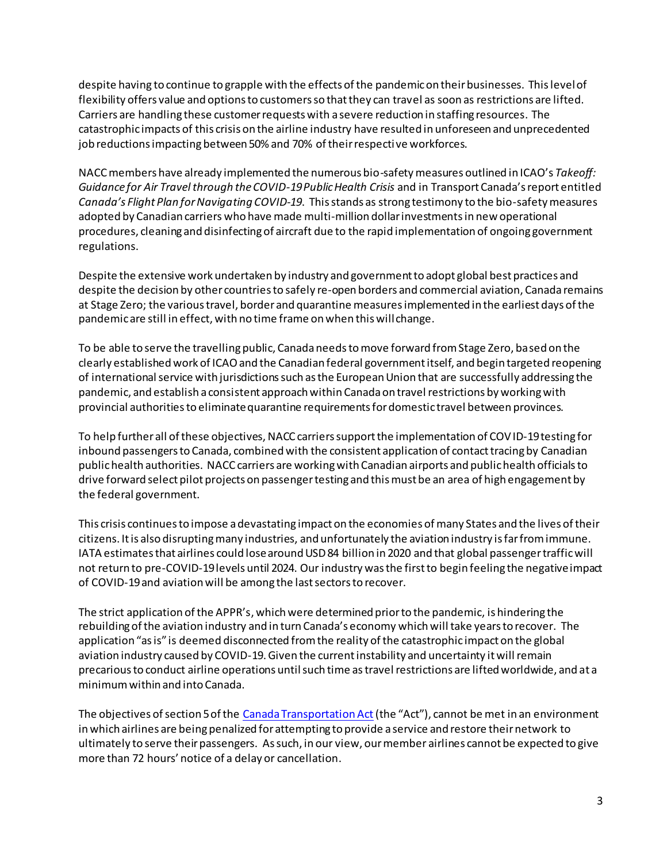despite having to continue to grapple with the effects of the pandemicon their businesses. This level of flexibility offers value and options to customers so that they can travel as soon as restrictions are lifted. Carriers are handling these customer requests with a severe reduction in staffing resources. The catastrophic impacts of this crisis on the airline industry have resulted in unforeseen and unprecedented job reductions impacting between 50% and 70% of their respective workforces.

NACC members have already implemented the numerous bio-safety measures outlined in ICAO's *Takeoff: Guidance for Air Travel through the COVID-19 Public Health Crisis* and in Transport Canada's report entitled *Canada's Flight Plan for Navigating COVID-19*. This stands as strong testimony to the bio-safety measures adopted by Canadian carriers who have made multi-million dollar investmentsin new operational procedures, cleaning and disinfecting of aircraft due to the rapid implementation of ongoing government regulations.

Despite the extensive work undertaken by industry and government to adopt global best practices and despite the decision by other countries to safely re-open borders and commercial aviation, Canada remains at Stage Zero; the various travel, border and quarantine measures implemented in the earliest days of the pandemic are still in effect, with no time frame on when this will change.

To be able to serve the travelling public, Canada needs to move forward from Stage Zero, based on the clearly established work of ICAO and the Canadian federal government itself, and begin targeted reopening of international service with jurisdictions such as the European Union that are successfully addressing the pandemic, and establish a consistent approach within Canada on travel restrictions by working with provincial authorities to eliminate quarantine requirements for domestic travel between provinces.

To help further all of these objectives, NACC carriers support the implementation of COVID-19 testing for inbound passengers to Canada, combined with the consistent application of contact tracing by Canadian public health authorities. NACC carriers are working with Canadian airports and public health officials to drive forward select pilot projects on passenger testing and this must be an area of high engagement by the federal government.

This crisis continues to impose a devastating impact on the economies of many States and the lives of their citizens. It is also disrupting many industries, and unfortunately the aviation industry is far from immune. IATA estimates that airlines could lose around USD 84 billion in 2020 and that global passenger traffic will not return to pre-COVID-19 levels until 2024. Our industry was the first to begin feeling the negative impact of COVID-19 and aviation will be among the last sectorsto recover.

The strict application of the APPR's, which were determined prior to the pandemic, is hindering the rebuilding of the aviation industry and in turn Canada's economy which will take years to recover. The application "as is" is deemed disconnected from the reality of the catastrophic impact on the global aviation industry caused by COVID-19. Given the current instability and uncertainty itwill remain precarious to conduct airline operations until such time as travel restrictions are lifted worldwide, and at a minimum within and into Canada.

The objectives of section 5 of the [Canada Transportation Act](https://laws-lois.justice.gc.ca/eng/acts/C-10.4/index.html)(the "Act"), cannot be met in an environment in which airlines are being penalized for attempting to provide a service and restore their network to ultimately to serve their passengers. As such, in our view, our member airlines cannot be expected to give more than 72 hours' notice of a delay or cancellation.